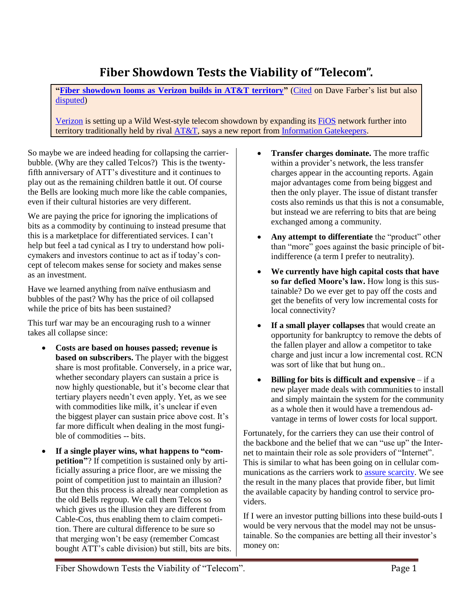## **Fiber Showdown Tests the Viability of "Telecom".**

**["Fiber showdown looms as Verizon builds in AT&T territory"](http://www.networkworld.com/news/2008/123108-fiber-att-verizon.html?fsrc=netflash-rss)** [\(Cited](http://www.listbox.com/member/archive/247/2009/01/sort/time_rev/page/1/entry/6:7/20090101014752:17C3FF70-D7D0-11DD-B462-08BE2847B4DB/) on Dave Farber's list but also [disputed\)](http://www.listbox.com/member/archive/247/2009/01/sort/time_rev/page/1/entry/0:7/20090101043349:3C3110CA-D7E7-11DD-8DC6-475210C32F4E/)

[Verizon](http://www.networkworld.com/news/financial/verizon.html) is setting up a Wild West-style telecom showdown by expanding it[s FiOS](http://www.networkworld.com/news/2008/053008-verizon-fios.html) network further into territory traditionally held by rival [AT&T,](http://www.networkworld.com/news/financial/att.html) says a new report fro[m Information Gatekeepers.](http://www.igigroup.com/)

So maybe we are indeed heading for collapsing the carrierbubble. (Why are they called Telcos?) This is the twentyfifth anniversary of ATT's divestiture and it continues to play out as the remaining children battle it out. Of course the Bells are looking much more like the cable companies, even if their cultural histories are very different.

We are paying the price for ignoring the implications of bits as a commodity by continuing to instead presume that this is a marketplace for differentiated services. I can't help but feel a tad cynical as I try to understand how policymakers and investors continue to act as if today's concept of telecom makes sense for society and makes sense as an investment.

Have we learned anything from naïve enthusiasm and bubbles of the past? Why has the price of oil collapsed while the price of bits has been sustained?

This turf war may be an encouraging rush to a winner takes all collapse since:

- **Costs are based on houses passed; revenue is based on subscribers.** The player with the biggest share is most profitable. Conversely, in a price war, whether secondary players can sustain a price is now highly questionable, but it's become clear that tertiary players needn't even apply. Yet, as we see with commodities like milk, it's unclear if even the biggest player can sustain price above cost. It's far more difficult when dealing in the most fungible of commodities -- bits.
- **If a single player wins, what happens to "competition"**? If competition is sustained only by artificially assuring a price floor, are we missing the point of competition just to maintain an illusion? But then this process is already near completion as the old Bells regroup. We call them Telcos so which gives us the illusion they are different from Cable-Cos, thus enabling them to claim competition. There are cultural difference to be sure so that merging won't be easy (remember Comcast bought ATT's cable division) but still, bits are bits.
- **Transfer charges dominate.** The more traffic within a provider's network, the less transfer charges appear in the accounting reports. Again major advantages come from being biggest and then the only player. The issue of distant transfer costs also reminds us that this is not a consumable, but instead we are referring to bits that are being exchanged among a community.
- **Any attempt to differentiate** the "product" other than "more" goes against the basic principle of bitindifference (a term I prefer to neutrality).
- **We currently have high capital costs that have so far defied Moore's law.** How long is this sustainable? Do we ever get to pay off the costs and get the benefits of very low incremental costs for local connectivity?
- **If a small player collapses** that would create an opportunity for bankruptcy to remove the debts of the fallen player and allow a competitor to take charge and just incur a low incremental cost. RCN was sort of like that but hung on..
- **Billing for bits is difficult and expensive** if a new player made deals with communities to install and simply maintain the system for the community as a whole then it would have a tremendous advantage in terms of lower costs for local support.

Fortunately, for the carriers they can use their control of the backbone and the belief that we can "use up" the Internet to maintain their role as sole providers of "Internet". This is similar to what has been going on in cellular communications as the carriers work to [assure scarcity.](http://frankston.com/public/?name=AssuringScarcity) We see the result in the many places that provide fiber, but limit the available capacity by handing control to service providers.

If I were an investor putting billions into these build-outs I would be very nervous that the model may not be unsustainable. So the companies are betting all their investor's money on: